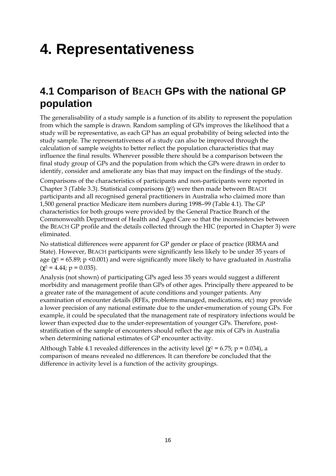# **4. Representativeness**

## **4.1 Comparison of BEACH GPs with the national GP population**

The generalisability of a study sample is a function of its ability to represent the population from which the sample is drawn. Random sampling of GPs improves the likelihood that a study will be representative, as each GP has an equal probability of being selected into the study sample. The representativeness of a study can also be improved through the calculation of sample weights to better reflect the population characteristics that may influence the final results. Wherever possible there should be a comparison between the final study group of GPs and the population from which the GPs were drawn in order to identify, consider and ameliorate any bias that may impact on the findings of the study.

Comparisons of the characteristics of participants and non-participants were reported in Chapter 3 (Table 3.3). Statistical comparisons  $(\chi^2)$  were then made between BEACH participants and all recognised general practitioners in Australia who claimed more than 1,500 general practice Medicare item numbers during 1998–99 (Table 4.1). The GP characteristics for both groups were provided by the General Practice Branch of the Commonwealth Department of Health and Aged Care so that the inconsistencies between the BEACH GP profile and the details collected through the HIC (reported in Chapter 3) were eliminated.

No statistical differences were apparent for GP gender or place of practice (RRMA and State). However, BEACH participants were significantly less likely to be under 35 years of age ( $\chi^2$  = 65.89; p <0.001) and were significantly more likely to have graduated in Australia  $(\gamma^2 = 4.44; p = 0.035).$ 

Analysis (not shown) of participating GPs aged less 35 years would suggest a different morbidity and management profile than GPs of other ages. Principally there appeared to be a greater rate of the management of acute conditions and younger patients. Any examination of encounter details (RFEs, problems managed, medications, etc) may provide a lower precision of any national estimate due to the under-enumeration of young GPs. For example, it could be speculated that the management rate of respiratory infections would be lower than expected due to the under-representation of younger GPs. Therefore, poststratification of the sample of encounters should reflect the age mix of GPs in Australia when determining national estimates of GP encounter activity.

Although Table 4.1 revealed differences in the activity level ( $\chi^2$  = 6.75; p = 0.034), a comparison of means revealed no differences. It can therefore be concluded that the difference in activity level is a function of the activity groupings.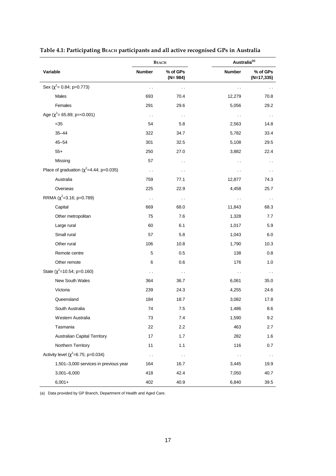|                                                | <b>BEACH</b>         |                         |                      | Australia <sup>(a)</sup>  |  |
|------------------------------------------------|----------------------|-------------------------|----------------------|---------------------------|--|
| Variable                                       | <b>Number</b>        | % of GPs<br>$(N = 984)$ | Number               | % of GPs<br>$(N=17, 335)$ |  |
| Sex ( $\chi^2$ = 0.84; p=0.773)                | $\ddot{\phantom{0}}$ | . .                     | $\ddot{\phantom{0}}$ |                           |  |
| Males                                          | 693                  | 70.4                    | 12,279               | 70.8                      |  |
| Females                                        | 291                  | 29.6                    | 5,056                | 29.2                      |  |
| Age ( $\chi^2$ = 65.89; p=<0.001)              | $\sim$               | $\sim$ $\sim$           | $\ddot{\phantom{0}}$ | $\sim$ $\sim$             |  |
| $35$                                           | 54                   | 5.8                     | 2,563                | 14.8                      |  |
| $35 - 44$                                      | 322                  | 34.7                    | 5,782                | 33.4                      |  |
| $45 - 54$                                      | 301                  | 32.5                    | 5,108                | 29.5                      |  |
| $55+$                                          | 250                  | 27.0                    | 3,882                | 22.4                      |  |
| Missing                                        | 57                   | $\ddot{\phantom{0}}$    | $\ddot{\phantom{0}}$ | $\sim$                    |  |
| Place of graduation ( $\chi^2$ =4.44; p=0.035) | $\ddot{\phantom{0}}$ | $\ddot{\phantom{0}}$    | $\ddot{\phantom{0}}$ | $\sim$ $\sim$             |  |
| Australia                                      | 759                  | 77.1                    | 12,877               | 74.3                      |  |
| Overseas                                       | 225                  | 22.9                    | 4,458                | 25.7                      |  |
| RRMA ( $\chi^2$ =3.16; p=0.789)                | $\ddot{\phantom{0}}$ | $\sim$ $\sim$           | $\ddot{\phantom{0}}$ | $\sim$ $\sim$             |  |
| Capital                                        | 669                  | 68.0                    | 11,843               | 68.3                      |  |
| Other metropolitan                             | 75                   | 7.6                     | 1,328                | 7.7                       |  |
| Large rural                                    | 60                   | 6.1                     | 1,017                | 5.9                       |  |
| Small rural                                    | 57                   | 5.8                     | 1,043                | 6.0                       |  |
| Other rural                                    | 106                  | 10.8                    | 1,790                | 10.3                      |  |
| Remote centre                                  | $\mathbf 5$          | 0.5                     | 138                  | 0.8                       |  |
| Other remote                                   | 6                    | 0.6                     | 176                  | 1.0                       |  |
| State ( $\chi^2$ =10.54; p=0.160)              | $\ddot{\phantom{1}}$ | $\sim$ $\sim$           | $\sim$ $\sim$        | $\sim$ $\sim$             |  |
| New South Wales                                | 364                  | 36.7                    | 6,061                | 35.0                      |  |
| Victoria                                       | 239                  | 24.3                    | 4,255                | 24.6                      |  |
| Queensland                                     | 184                  | 18.7                    | 3,082                | 17.8                      |  |
| South Australia                                | 74                   | 7.5                     | 1,486                | 8.6                       |  |
| Western Australia                              | 73                   | 7.4                     | 1,590                | 9.2                       |  |
| Tasmania                                       | 22                   | 2.2                     | 463                  | 2.7                       |  |
| <b>Australian Capital Territory</b>            | 17                   | 1.7                     | 282                  | 1.6                       |  |
| Northern Territory                             | 11                   | 1.1                     | 116                  | 0.7                       |  |
| Activity level ( $\chi^2$ =6.75; p=0.034)      | $\sim$               | $\sim$ $\sim$           | $\sim$ $\sim$        | $\sim$                    |  |
| 1,501-3,000 services in previous year          | 164                  | 16.7                    | 3,445                | 19.9                      |  |
| $3,001 - 6,000$                                | 418                  | 42.4                    | 7,050                | 40.7                      |  |
| $6,001+$                                       | 402                  | 40.9                    | 6,840                | 39.5                      |  |

#### **Table 4.1: Participating BEACH participants and all active recognised GPs in Australia**

(a) Data provided by GP Branch, Department of Health and Aged Care.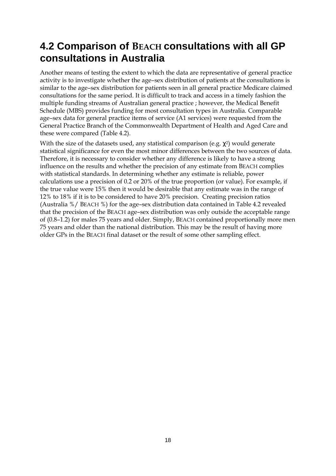# **4.2 Comparison of BEACH consultations with all GP consultations in Australia**

Another means of testing the extent to which the data are representative of general practice activity is to investigate whether the age–sex distribution of patients at the consultations is similar to the age–sex distribution for patients seen in all general practice Medicare claimed consultations for the same period. It is difficult to track and access in a timely fashion the multiple funding streams of Australian general practice ; however, the Medical Benefit Schedule (MBS) provides funding for most consultation types in Australia. Comparable age–sex data for general practice items of service (A1 services) were requested from the General Practice Branch of the Commonwealth Department of Health and Aged Care and these were compared (Table 4.2).

With the size of the datasets used, any statistical comparison (e.g.  $\chi^2$ ) would generate statistical significance for even the most minor differences between the two sources of data. Therefore, it is necessary to consider whether any difference is likely to have a strong influence on the results and whether the precision of any estimate from BEACH complies with statistical standards. In determining whether any estimate is reliable, power calculations use a precision of 0.2 or 20% of the true proportion (or value). For example, if the true value were 15% then it would be desirable that any estimate was in the range of 12% to 18% if it is to be considered to have 20% precision. Creating precision ratios (Australia %/ BEACH %) for the age–sex distribution data contained in Table 4.2 revealed that the precision of the BEACH age–sex distribution was only outside the acceptable range of (0.8–1.2) for males 75 years and older. Simply, BEACH contained proportionally more men 75 years and older than the national distribution. This may be the result of having more older GPs in the BEACH final dataset or the result of some other sampling effect.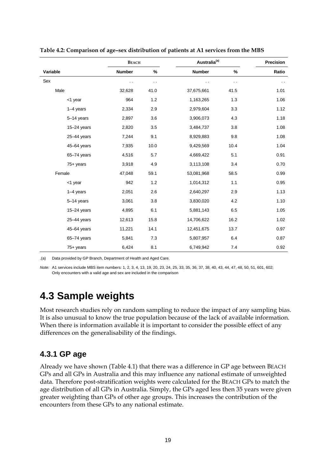|                 | <b>BEACH</b>         |      |               | Australia <sup>(a)</sup> |               |  |
|-----------------|----------------------|------|---------------|--------------------------|---------------|--|
| Variable        | Number               | $\%$ | <b>Number</b> | %                        | Ratio         |  |
| Sex             | $\ddot{\phantom{a}}$ | . .  | . .           | $\sim$                   | $\sim$ $\sim$ |  |
| Male            | 32,628               | 41.0 | 37,675,661    | 41.5                     | 1.01          |  |
| <1 year         | 964                  | 1.2  | 1,163,265     | 1.3                      | 1.06          |  |
| $1-4$ years     | 2,334                | 2.9  | 2,979,604     | 3.3                      | 1.12          |  |
| 5-14 years      | 2,897                | 3.6  | 3,906,073     | 4.3                      | 1.18          |  |
| $15 - 24$ years | 2,820                | 3.5  | 3,484,737     | 3.8                      | 1.08          |  |
| $25 - 44$ years | 7,244                | 9.1  | 8,929,883     | 9.8                      | 1.08          |  |
| 45-64 years     | 7,935                | 10.0 | 9,429,569     | 10.4                     | 1.04          |  |
| 65-74 years     | 4,516                | 5.7  | 4,669,422     | 5.1                      | 0.91          |  |
| $75+$ years     | 3,918                | 4.9  | 3,113,108     | 3.4                      | 0.70          |  |
| Female          | 47,048               | 59.1 | 53,081,968    | 58.5                     | 0.99          |  |
| <1 year         | 942                  | 1.2  | 1,014,312     | 1.1                      | 0.95          |  |
| $1-4$ years     | 2,051                | 2.6  | 2,640,297     | 2.9                      | 1.13          |  |
| 5-14 years      | 3,061                | 3.8  | 3,830,020     | 4.2                      | 1.10          |  |
| $15 - 24$ years | 4,895                | 6.1  | 5,881,143     | 6.5                      | 1.05          |  |
| $25 - 44$ years | 12,613               | 15.8 | 14,706,622    | 16.2                     | 1.02          |  |
| 45-64 years     | 11,221               | 14.1 | 12,451,675    | 13.7                     | 0.97          |  |
| 65-74 years     | 5,841                | 7.3  | 5,807,957     | 6.4                      | 0.87          |  |
| $75+$ years     | 6,424                | 8.1  | 6,749,942     | 7.4                      | 0.92          |  |

**Table 4.2: Comparison of age–sex distribution of patients at A1 services from the MBS**

.(a) Data provided by GP Branch, Department of Health and Aged Care.

*Note:* A1 services include MBS item numbers: 1, 2, 3, 4, 13, 19, 20, 23, 24, 25, 33, 35, 36, 37, 38, 40, 43, 44, 47, 48, 50, 51, 601, 602; Only encounters with a valid age and sex are included in the comparison

## **4.3 Sample weights**

Most research studies rely on random sampling to reduce the impact of any sampling bias. It is also unusual to know the true population because of the lack of available information. When there is information available it is important to consider the possible effect of any differences on the generalisability of the findings.

#### **4.3.1 GP age**

Already we have shown (Table 4.1) that there was a difference in GP age between BEACH GPs and all GPs in Australia and this may influence any national estimate of unweighted data. Therefore post-stratification weights were calculated for the BEACH GPs to match the age distribution of all GPs in Australia. Simply, the GPs aged less then 35 years were given greater weighting than GPs of other age groups. This increases the contribution of the encounters from these GPs to any national estimate.